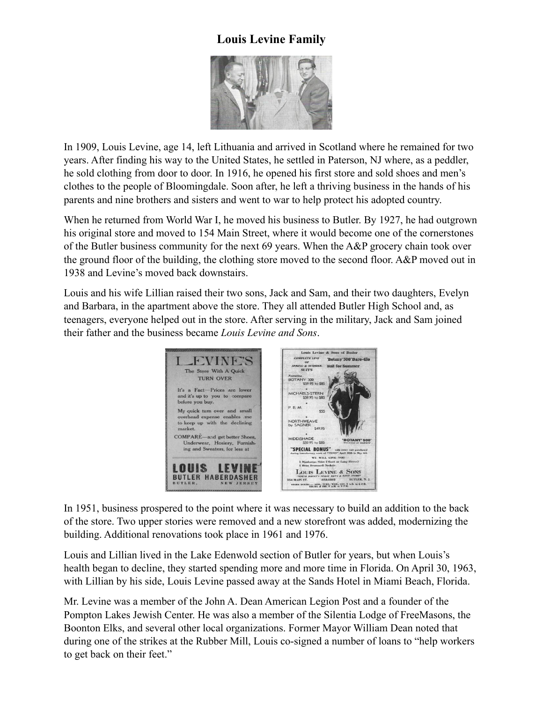## **Louis Levine Family**



In 1909, Louis Levine, age 14, left Lithuania and arrived in Scotland where he remained for two years. After finding his way to the United States, he settled in Paterson, NJ where, as a peddler, he sold clothing from door to door. In 1916, he opened his first store and sold shoes and men's clothes to the people of Bloomingdale. Soon after, he left a thriving business in the hands of his parents and nine brothers and sisters and went to war to help protect his adopted country.

When he returned from World War I, he moved his business to Butler. By 1927, he had outgrown his original store and moved to 154 Main Street, where it would become one of the cornerstones of the Butler business community for the next 69 years. When the A&P grocery chain took over the ground floor of the building, the clothing store moved to the second floor. A&P moved out in 1938 and Levine's moved back downstairs.

Louis and his wife Lillian raised their two sons, Jack and Sam, and their two daughters, Evelyn and Barbara, in the apartment above the store. They all attended Butler High School and, as teenagers, everyone helped out in the store. After serving in the military, Jack and Sam joined their father and the business became *Louis Levine and Sons*.



In 1951, business prospered to the point where it was necessary to build an addition to the back of the store. Two upper stories were removed and a new storefront was added, modernizing the building. Additional renovations took place in 1961 and 1976.

Louis and Lillian lived in the Lake Edenwold section of Butler for years, but when Louis's health began to decline, they started spending more and more time in Florida. On April 30, 1963, with Lillian by his side, Louis Levine passed away at the Sands Hotel in Miami Beach, Florida.

Mr. Levine was a member of the John A. Dean American Legion Post and a founder of the Pompton Lakes Jewish Center. He was also a member of the Silentia Lodge of FreeMasons, the Boonton Elks, and several other local organizations. Former Mayor William Dean noted that during one of the strikes at the Rubber Mill, Louis co-signed a number of loans to "help workers to get back on their feet."